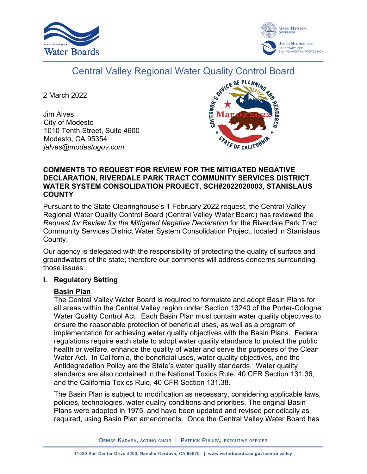



# Central Valley Regional Water Quality Control Board

2 March 2022

Jim Alves City of Modesto 1010 Tenth Street, Suite 4600 Modesto, CA 95354 *jalves@modestogov.com*



## **COMMENTS TO REQUEST FOR REVIEW FOR THE MITIGATED NEGATIVE DECLARATION, RIVERDALE PARK TRACT COMMUNITY SERVICES DISTRICT WATER SYSTEM CONSOLIDATION PROJECT, SCH#2022020003, STANISLAUS COUNTY**

Pursuant to the State Clearinghouse's 1 February 2022 request, the Central Valley Regional Water Quality Control Board (Central Valley Water Board) has reviewed the *Request for Review for the Mitigated Negative Declaration* for the Riverdale Park Tract Community Services District Water System Consolidation Project, located in Stanislaus County.

Our agency is delegated with the responsibility of protecting the quality of surface and groundwaters of the state; therefore our comments will address concerns surrounding those issues.

# **I. Regulatory Setting**

# **Basin Plan**

The Central Valley Water Board is required to formulate and adopt Basin Plans for all areas within the Central Valley region under Section 13240 of the Porter-Cologne Water Quality Control Act. Each Basin Plan must contain water quality objectives to ensure the reasonable protection of beneficial uses, as well as a program of implementation for achieving water quality objectives with the Basin Plans. Federal regulations require each state to adopt water quality standards to protect the public health or welfare, enhance the quality of water and serve the purposes of the Clean Water Act. In California, the beneficial uses, water quality objectives, and the Antidegradation Policy are the State's water quality standards. Water quality standards are also contained in the National Toxics Rule, 40 CFR Section 131.36, and the California Toxics Rule, 40 CFR Section 131.38.

The Basin Plan is subject to modification as necessary, considering applicable laws, policies, technologies, water quality conditions and priorities. The original Basin Plans were adopted in 1975, and have been updated and revised periodically as required, using Basin Plan amendments. Once the Central Valley Water Board has

DENISE KADARA, ACTING CHAIR | PATRICK PULUPA, EXECUTIVE OFFICER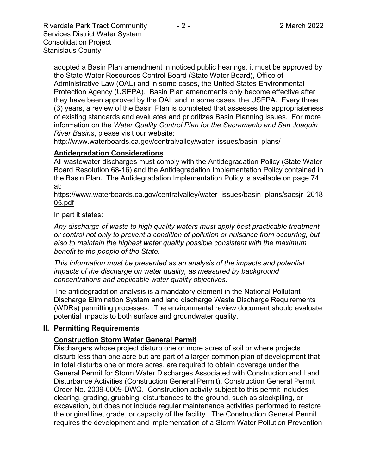Riverdale Park Tract Community  $\overline{a}$  - 2 - 2 March 2022 Services District Water System Consolidation Project Stanislaus County

adopted a Basin Plan amendment in noticed public hearings, it must be approved by the State Water Resources Control Board (State Water Board), Office of Administrative Law (OAL) and in some cases, the United States Environmental Protection Agency (USEPA). Basin Plan amendments only become effective after they have been approved by the OAL and in some cases, the USEPA. Every three (3) years, a review of the Basin Plan is completed that assesses the appropriateness of existing standards and evaluates and prioritizes Basin Planning issues. For more information on the *Water Quality Control Plan for the Sacramento and San Joaquin River Basins*, please visit our website:

[http://www.waterboards.ca.gov/centralvalley/water\\_issues/basin\\_plans/](http://www.waterboards.ca.gov/centralvalley/water_issues/basin_plans/)

## **Antidegradation Considerations**

All wastewater discharges must comply with the Antidegradation Policy (State Water Board Resolution 68-16) and the Antidegradation Implementation Policy contained in the Basin Plan. The Antidegradation Implementation Policy is available on page 74 at:

https://www.waterboards.ca.gov/centralvalley/water\_issues/basin\_plans/sacsjr\_2018 05.pdf

In part it states:

*Any discharge of waste to high quality waters must apply best practicable treatment or control not only to prevent a condition of pollution or nuisance from occurring, but also to maintain the highest water quality possible consistent with the maximum benefit to the people of the State.*

*This information must be presented as an analysis of the impacts and potential impacts of the discharge on water quality, as measured by background concentrations and applicable water quality objectives.*

The antidegradation analysis is a mandatory element in the National Pollutant Discharge Elimination System and land discharge Waste Discharge Requirements (WDRs) permitting processes. The environmental review document should evaluate potential impacts to both surface and groundwater quality.

#### **II. Permitting Requirements**

# **Construction Storm Water General Permit**

Dischargers whose project disturb one or more acres of soil or where projects disturb less than one acre but are part of a larger common plan of development that in total disturbs one or more acres, are required to obtain coverage under the General Permit for Storm Water Discharges Associated with Construction and Land Disturbance Activities (Construction General Permit), Construction General Permit Order No. 2009-0009-DWQ. Construction activity subject to this permit includes clearing, grading, grubbing, disturbances to the ground, such as stockpiling, or excavation, but does not include regular maintenance activities performed to restore the original line, grade, or capacity of the facility. The Construction General Permit requires the development and implementation of a Storm Water Pollution Prevention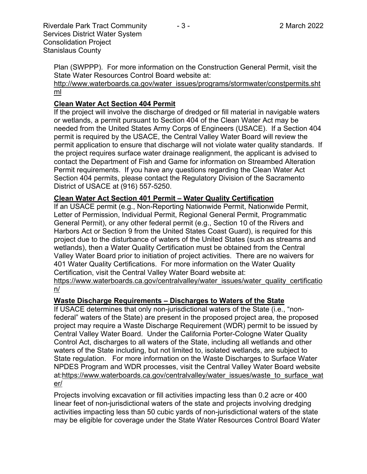Plan (SWPPP). For more information on the Construction General Permit, visit the State Water Resources Control Board website at:

[http://www.waterboards.ca.gov/water\\_issues/programs/stormwater/constpermits.sht](http://www.waterboards.ca.gov/water_issues/programs/stormwater/constpermits.shtml) [ml](http://www.waterboards.ca.gov/water_issues/programs/stormwater/constpermits.shtml)

# **Clean Water Act Section 404 Permit**

If the project will involve the discharge of dredged or fill material in navigable waters or wetlands, a permit pursuant to Section 404 of the Clean Water Act may be needed from the United States Army Corps of Engineers (USACE). If a Section 404 permit is required by the USACE, the Central Valley Water Board will review the permit application to ensure that discharge will not violate water quality standards. If the project requires surface water drainage realignment, the applicant is advised to contact the Department of Fish and Game for information on Streambed Alteration Permit requirements. If you have any questions regarding the Clean Water Act Section 404 permits, please contact the Regulatory Division of the Sacramento District of USACE at (916) 557-5250.

## **Clean Water Act Section 401 Permit – Water Quality Certification**

If an USACE permit (e.g., Non-Reporting Nationwide Permit, Nationwide Permit, Letter of Permission, Individual Permit, Regional General Permit, Programmatic General Permit), or any other federal permit (e.g., Section 10 of the Rivers and Harbors Act or Section 9 from the United States Coast Guard), is required for this project due to the disturbance of waters of the United States (such as streams and wetlands), then a Water Quality Certification must be obtained from the Central Valley Water Board prior to initiation of project activities. There are no waivers for 401 Water Quality Certifications. For more information on the Water Quality Certification, visit the Central Valley Water Board website at:

https://www.waterboards.ca.gov/centralvalley/water\_issues/water\_quality\_certificatio n/

#### **Waste Discharge Requirements – Discharges to Waters of the State**

If USACE determines that only non-jurisdictional waters of the State (i.e., "nonfederal" waters of the State) are present in the proposed project area, the proposed project may require a Waste Discharge Requirement (WDR) permit to be issued by Central Valley Water Board. Under the California Porter-Cologne Water Quality Control Act, discharges to all waters of the State, including all wetlands and other waters of the State including, but not limited to, isolated wetlands, are subject to State regulation. For more information on the Waste Discharges to Surface Water NPDES Program and WDR processes, visit the Central Valley Water Board website at:https://www.waterboards.ca.gov/centralvalley/water\_issues/waste\_to\_surface\_wat er/

Projects involving excavation or fill activities impacting less than 0.2 acre or 400 linear feet of non-jurisdictional waters of the state and projects involving dredging activities impacting less than 50 cubic yards of non-jurisdictional waters of the state may be eligible for coverage under the State Water Resources Control Board Water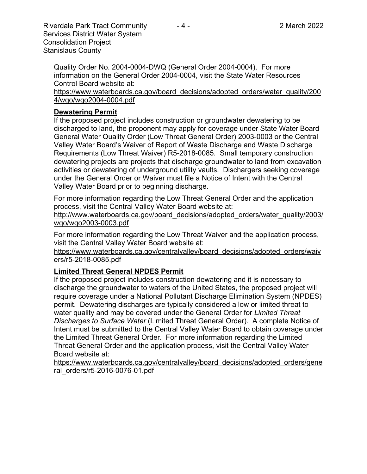Riverdale Park Tract Community - 4 - 2 March 2022 Services District Water System Consolidation Project Stanislaus County

Quality Order No. 2004-0004-DWQ (General Order 2004-0004). For more information on the General Order 2004-0004, visit the State Water Resources Control Board website at:

https://www.waterboards.ca.gov/board\_decisions/adopted\_orders/water\_quality/200 4/wqo/wqo2004-0004.pdf

#### **Dewatering Permit**

If the proposed project includes construction or groundwater dewatering to be discharged to land, the proponent may apply for coverage under State Water Board General Water Quality Order (Low Threat General Order) 2003-0003 or the Central Valley Water Board's Waiver of Report of Waste Discharge and Waste Discharge Requirements (Low Threat Waiver) R5-2018-0085. Small temporary construction dewatering projects are projects that discharge groundwater to land from excavation activities or dewatering of underground utility vaults. Dischargers seeking coverage under the General Order or Waiver must file a Notice of Intent with the Central Valley Water Board prior to beginning discharge.

For more information regarding the Low Threat General Order and the application process, visit the Central Valley Water Board website at:

http://www.waterboards.ca.gov/board\_decisions/adopted\_orders/water\_quality/2003/ wqo/wqo2003-0003.pdf

For more information regarding the Low Threat Waiver and the application process, visit the Central Valley Water Board website at:

https://www.waterboards.ca.gov/centralvalley/board\_decisions/adopted\_orders/waiv ers/r5-2018-0085.pdf

# **Limited Threat General NPDES Permit**

If the proposed project includes construction dewatering and it is necessary to discharge the groundwater to waters of the United States, the proposed project will require coverage under a National Pollutant Discharge Elimination System (NPDES) permit. Dewatering discharges are typically considered a low or limited threat to water quality and may be covered under the General Order for *Limited Threat Discharges to Surface Water* (Limited Threat General Order). A complete Notice of Intent must be submitted to the Central Valley Water Board to obtain coverage under the Limited Threat General Order. For more information regarding the Limited Threat General Order and the application process, visit the Central Valley Water Board website at:

https://www.waterboards.ca.gov/centralvalley/board\_decisions/adopted\_orders/gene ral\_orders/r5-2016-0076-01.pdf